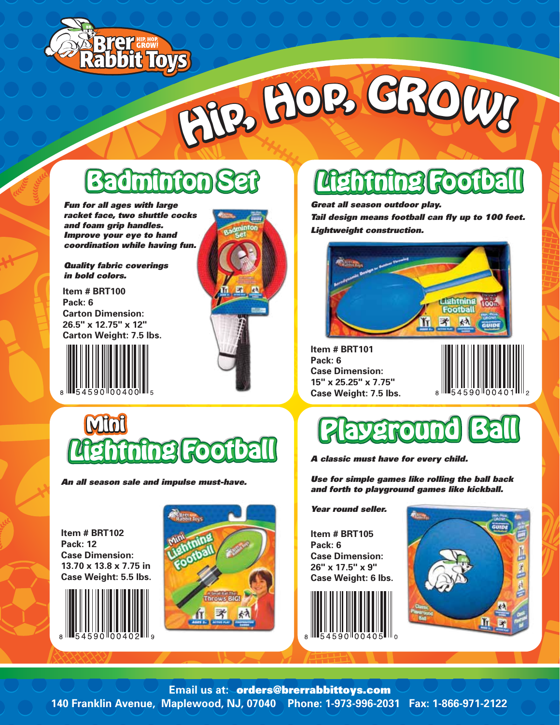

# **<sup>H</sup>ip, <sup>H</sup>op, <sup>G</sup>ROW! <sup>H</sup>ip, <sup>H</sup>op, <sup>G</sup>ROW!**

### **Badminton Badminton Badminton Set**

*Fun for all ages with large racket face, two shuttle cocks and foam grip handles. Improve your eye to hand coordination while having fun.*

*Quality fabric coverings in bold colors.*

**Item # BRT100 Pack: 6 Carton Dimension: 26.5" x 12.75" x 12" Carton Weight: 7.5 lbs.**



**Mini**



#### **Lightning Football Lightning Football Lightning Football**

*Great all season outdoor play. Tail design means football can fly up to 100 feet. Lightweight construction.*



**Item # BRT101 Pack: 6 Case Dimension: 15" x 25.25" x 7.75" Case Weight: 7.5 lbs.**



#### **Playground Playground Playground Ball Ball Ball**

*A classic must have for every child.*

*Use for simple games like rolling the ball back and forth to playground games like kickball.*

*Year round seller.*

**Item # BRT105 Pack: 6 Case Dimension: 26" x 17.5" x 9" Case Weight: 6 lbs.**





**Item # BRT102 Pack: 12 Case Dimension: 13.70 x 13.8 x 7.75 in Case Weight: 5.5 lbs.**

*An all season sale and impulse must-have.*

**Lightning Football Lightning Football Lightning Football**





**140 Franklin Avenue, Maplewood, NJ, 07040 Phone: 1-973-996-2031 Fax: 1-866-971-2122 Email us at:**orders@brerrabbittoys.com